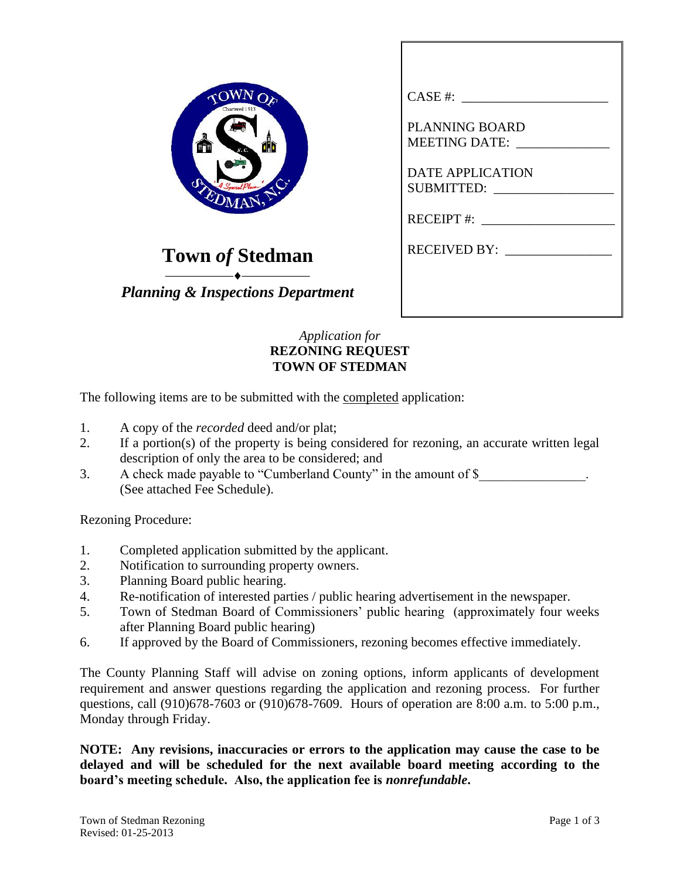

## **Town** *of* **Stedman**

⎯⎯⎯⎯⎯⎯⎯⎯⎯⎯ *Planning & Inspections Department*

| CASE #:                                              |
|------------------------------------------------------|
| <b>PLANNING BOARD</b><br>MEETING DATE: _____________ |
| <b>DATE APPLICATION</b>                              |
| RECEIPT #: $\qquad \qquad \qquad$                    |
| RECEIVED BY:                                         |
|                                                      |
|                                                      |

## *Application for* **REZONING REQUEST TOWN OF STEDMAN**

The following items are to be submitted with the completed application:

- 1. A copy of the *recorded* deed and/or plat;
- 2. If a portion(s) of the property is being considered for rezoning, an accurate written legal description of only the area to be considered; and
- 3. A check made payable to "Cumberland County" in the amount of \$ (See attached Fee Schedule).

Rezoning Procedure:

- 1. Completed application submitted by the applicant.
- 2. Notification to surrounding property owners.
- 3. Planning Board public hearing.
- 4. Re-notification of interested parties / public hearing advertisement in the newspaper.
- 5. Town of Stedman Board of Commissioners' public hearing (approximately four weeks after Planning Board public hearing)
- 6. If approved by the Board of Commissioners, rezoning becomes effective immediately.

The County Planning Staff will advise on zoning options, inform applicants of development requirement and answer questions regarding the application and rezoning process. For further questions, call (910)678-7603 or (910)678-7609. Hours of operation are 8:00 a.m. to 5:00 p.m., Monday through Friday.

**NOTE: Any revisions, inaccuracies or errors to the application may cause the case to be delayed and will be scheduled for the next available board meeting according to the board's meeting schedule. Also, the application fee is** *nonrefundable***.**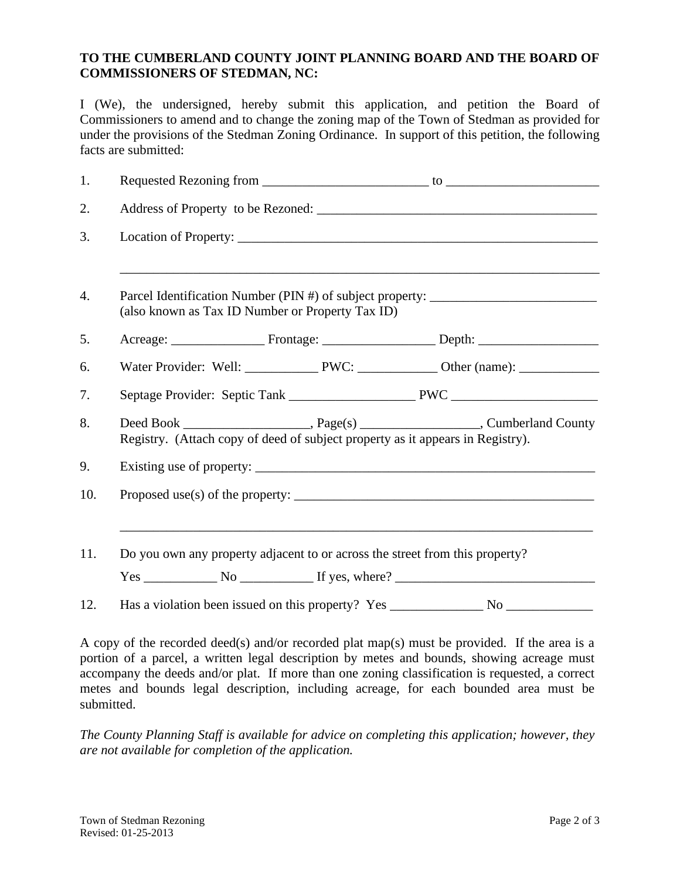## **TO THE CUMBERLAND COUNTY JOINT PLANNING BOARD AND THE BOARD OF COMMISSIONERS OF STEDMAN, NC:**

I (We), the undersigned, hereby submit this application, and petition the Board of Commissioners to amend and to change the zoning map of the Town of Stedman as provided for under the provisions of the Stedman Zoning Ordinance. In support of this petition, the following facts are submitted:

| 1.  |                                                                                                                                      |  |  |
|-----|--------------------------------------------------------------------------------------------------------------------------------------|--|--|
| 2.  |                                                                                                                                      |  |  |
| 3.  |                                                                                                                                      |  |  |
| 4.  | Parcel Identification Number (PIN #) of subject property: ______________________<br>(also known as Tax ID Number or Property Tax ID) |  |  |
| 5.  |                                                                                                                                      |  |  |
| 6.  |                                                                                                                                      |  |  |
| 7.  |                                                                                                                                      |  |  |
| 8.  | Registry. (Attach copy of deed of subject property as it appears in Registry).                                                       |  |  |
| 9.  |                                                                                                                                      |  |  |
| 10. |                                                                                                                                      |  |  |
| 11. | Do you own any property adjacent to or across the street from this property?<br>$Yes \_$ No $\_$ If yes, where? $\_$                 |  |  |
| 12. |                                                                                                                                      |  |  |

A copy of the recorded deed(s) and/or recorded plat map(s) must be provided. If the area is a portion of a parcel, a written legal description by metes and bounds, showing acreage must accompany the deeds and/or plat. If more than one zoning classification is requested, a correct metes and bounds legal description, including acreage, for each bounded area must be submitted.

*The County Planning Staff is available for advice on completing this application; however, they are not available for completion of the application.*